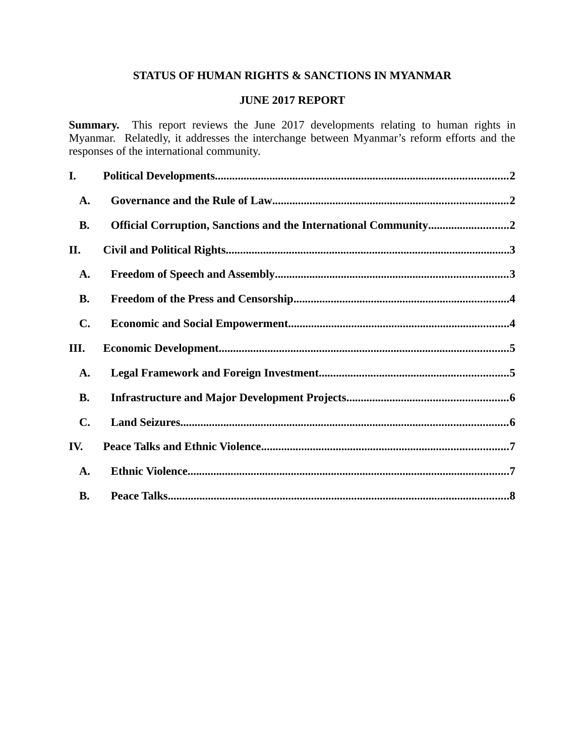# **STATUS OF HUMAN RIGHTS & SANCTIONS IN MYANMAR**

## **JUNE 2017 REPORT**

**Summary.** This report reviews the June 2017 developments relating to human rights in Myanmar. Relatedly, it addresses the interchange between Myanmar's reform efforts and the responses of the international community.

| I.             |                                                                 |  |
|----------------|-----------------------------------------------------------------|--|
| A.             |                                                                 |  |
| <b>B.</b>      | Official Corruption, Sanctions and the International Community2 |  |
| II.            |                                                                 |  |
| A.             |                                                                 |  |
| <b>B.</b>      |                                                                 |  |
| $\mathbf{C}$ . |                                                                 |  |
| III.           |                                                                 |  |
|                |                                                                 |  |
| A.             |                                                                 |  |
| <b>B.</b>      |                                                                 |  |
| $\mathbf{C}$ . |                                                                 |  |
| IV.            |                                                                 |  |
| A.             |                                                                 |  |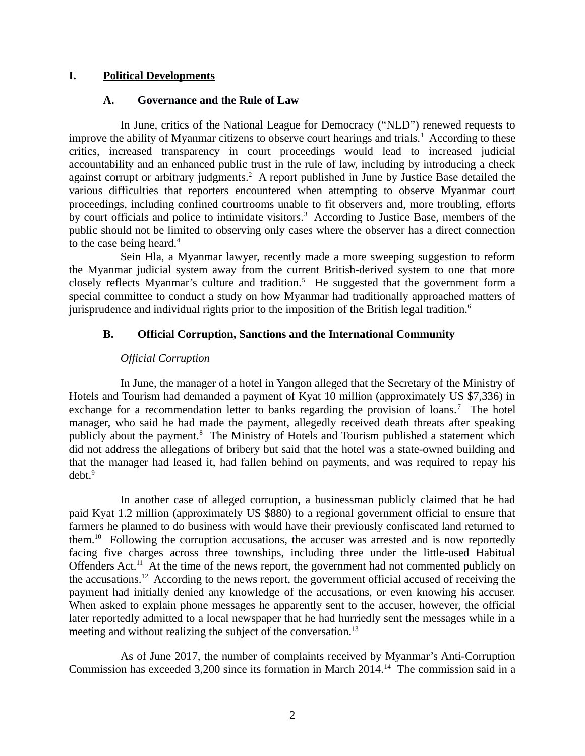## **I. Political Developments**

## <span id="page-1-2"></span><span id="page-1-0"></span>**A. Governance and the Rule of Law**

In June, critics of the National League for Democracy ("NLD") renewed requests to improve the ability of Myanmar citizens to observe court hearings and trials.<sup>1</sup> According to these critics, increased transparency in court proceedings would lead to increased judicial accountability and an enhanced public trust in the rule of law, including by introducing a check against corrupt or arbitrary judgments.<sup>2</sup> A report published in June by Justice Base detailed the various difficulties that reporters encountered when attempting to observe Myanmar court proceedings, including confined courtrooms unable to fit observers and, more troubling, efforts by court officials and police to intimidate visitors.<sup>3</sup> According to Justice Base, members of the public should not be limited to observing only cases where the observer has a direct connection to the case being heard.<sup>4</sup>

Sein Hla, a Myanmar lawyer, recently made a more sweeping suggestion to reform the Myanmar judicial system away from the current British-derived system to one that more closely reflects Myanmar's culture and tradition.<sup>5</sup> He suggested that the government form a special committee to conduct a study on how Myanmar had traditionally approached matters of jurisprudence and individual rights prior to the imposition of the British legal tradition.<sup>6</sup>

# **B. Official Corruption, Sanctions and the International Community**

# <span id="page-1-1"></span>*Official Corruption*

In June, the manager of a hotel in Yangon alleged that the Secretary of the Ministry of Hotels and Tourism had demanded a payment of Kyat 10 million (approximately US \$7,336) in exchange for a recommendation letter to banks regarding the provision of loans.<sup>7</sup> The hotel manager, who said he had made the payment, allegedly received death threats after speaking publicly about the payment.<sup>8</sup> The Ministry of Hotels and Tourism published a statement which did not address the allegations of bribery but said that the hotel was a state-owned building and that the manager had leased it, had fallen behind on payments, and was required to repay his debt.<sup>9</sup>

In another case of alleged corruption, a businessman publicly claimed that he had paid Kyat 1.2 million (approximately US \$880) to a regional government official to ensure that farmers he planned to do business with would have their previously confiscated land returned to them.<sup>10</sup> Following the corruption accusations, the accuser was arrested and is now reportedly facing five charges across three townships, including three under the little-used Habitual Offenders Act.<sup>11</sup> At the time of the news report, the government had not commented publicly on the accusations.<sup>12</sup> According to the news report, the government official accused of receiving the payment had initially denied any knowledge of the accusations, or even knowing his accuser. When asked to explain phone messages he apparently sent to the accuser, however, the official later reportedly admitted to a local newspaper that he had hurriedly sent the messages while in a meeting and without realizing the subject of the conversation.<sup>13</sup>

As of June 2017, the number of complaints received by Myanmar's Anti-Corruption Commission has exceeded 3,200 since its formation in March 2014.<sup>14</sup> The commission said in a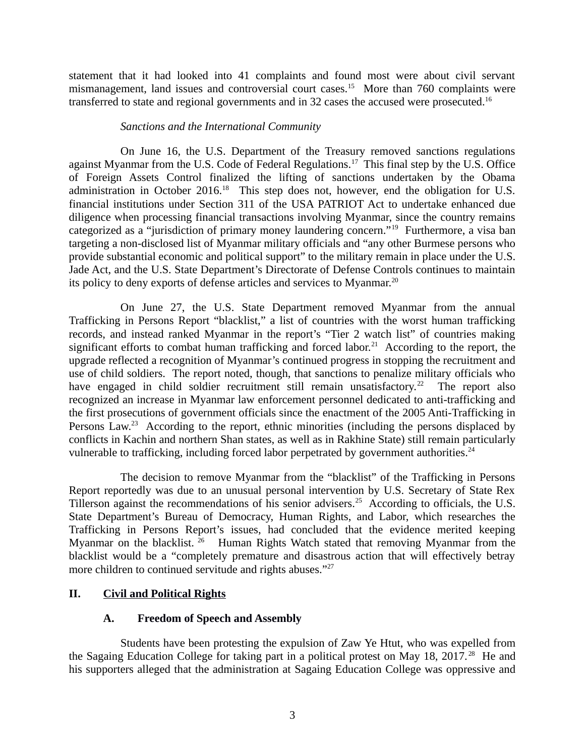statement that it had looked into 41 complaints and found most were about civil servant mismanagement, land issues and controversial court cases.<sup>15</sup> More than 760 complaints were transferred to state and regional governments and in 32 cases the accused were prosecuted.<sup>16</sup>

## *Sanctions and the International Community*

On June 16, the U.S. Department of the Treasury removed sanctions regulations against Myanmar from the U.S. Code of Federal Regulations.<sup>17</sup> This final step by the U.S. Office of Foreign Assets Control finalized the lifting of sanctions undertaken by the Obama administration in October 2016.<sup>18</sup> This step does not, however, end the obligation for U.S. financial institutions under Section 311 of the USA PATRIOT Act to undertake enhanced due diligence when processing financial transactions involving Myanmar, since the country remains categorized as a "jurisdiction of primary money laundering concern."<sup>19</sup> Furthermore, a visa ban targeting a non-disclosed list of Myanmar military officials and "any other Burmese persons who provide substantial economic and political support" to the military remain in place under the U.S. Jade Act, and the U.S. State Department's Directorate of Defense Controls continues to maintain its policy to deny exports of defense articles and services to Myanmar.<sup>20</sup>

On June 27, the U.S. State Department removed Myanmar from the annual Trafficking in Persons Report "blacklist," a list of countries with the worst human trafficking records, and instead ranked Myanmar in the report's "Tier 2 watch list" of countries making significant efforts to combat human trafficking and forced labor.<sup>21</sup> According to the report, the upgrade reflected a recognition of Myanmar's continued progress in stopping the recruitment and use of child soldiers. The report noted, though, that sanctions to penalize military officials who have engaged in child soldier recruitment still remain unsatisfactory.<sup>22</sup> The report also recognized an increase in Myanmar law enforcement personnel dedicated to anti-trafficking and the first prosecutions of government officials since the enactment of the 2005 Anti-Trafficking in Persons Law.<sup>23</sup> According to the report, ethnic minorities (including the persons displaced by conflicts in Kachin and northern Shan states, as well as in Rakhine State) still remain particularly vulnerable to trafficking, including forced labor perpetrated by government authorities.<sup>24</sup>

The decision to remove Myanmar from the "blacklist" of the Trafficking in Persons Report reportedly was due to an unusual personal intervention by U.S. Secretary of State Rex Tillerson against the recommendations of his senior advisers.<sup>25</sup> According to officials, the U.S. State Department's Bureau of Democracy, Human Rights, and Labor, which researches the Trafficking in Persons Report's issues, had concluded that the evidence merited keeping Myanmar on the blacklist. <sup>26</sup> Human Rights Watch stated that removing Myanmar from the blacklist would be a "completely premature and disastrous action that will effectively betray more children to continued servitude and rights abuses."<sup>27</sup>

# **II. Civil and Political Rights**

# <span id="page-2-1"></span><span id="page-2-0"></span>**A. Freedom of Speech and Assembly**

Students have been protesting the expulsion of Zaw Ye Htut, who was expelled from the Sagaing Education College for taking part in a political protest on May 18, 2017.<sup>28</sup> He and his supporters alleged that the administration at Sagaing Education College was oppressive and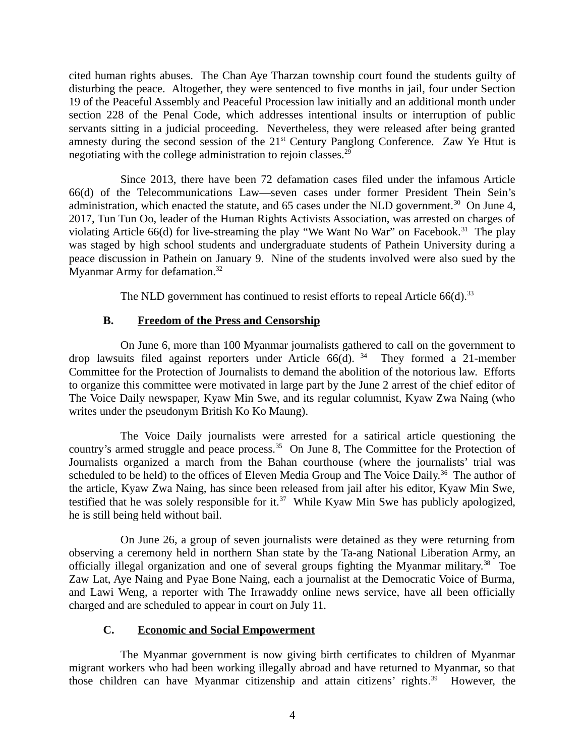cited human rights abuses. The Chan Aye Tharzan township court found the students guilty of disturbing the peace. Altogether, they were sentenced to five months in jail, four under Section 19 of the Peaceful Assembly and Peaceful Procession law initially and an additional month under section 228 of the Penal Code, which addresses intentional insults or interruption of public servants sitting in a judicial proceeding. Nevertheless, they were released after being granted amnesty during the second session of the  $21<sup>st</sup>$  Century Panglong Conference. Zaw Ye Htut is negotiating with the college administration to rejoin classes. $^{29}$ 

Since 2013, there have been 72 defamation cases filed under the infamous Article 66(d) of the Telecommunications Law—seven cases under former President Thein Sein's administration, which enacted the statute, and 65 cases under the NLD government.<sup>30</sup> On June 4, 2017, Tun Tun Oo, leader of the Human Rights Activists Association, was arrested on charges of violating Article 66(d) for live-streaming the play "We Want No War" on Facebook.<sup>31</sup> The play was staged by high school students and undergraduate students of Pathein University during a peace discussion in Pathein on January 9. Nine of the students involved were also sued by the Myanmar Army for defamation.<sup>32</sup>

<span id="page-3-1"></span>The NLD government has continued to resist efforts to repeal Article  $66(d).$ <sup>33</sup>

## **B. Freedom of the Press and Censorship**

On June 6, more than 100 Myanmar journalists gathered to call on the government to drop lawsuits filed against reporters under Article  $66(d)$ . <sup>34</sup> They formed a 21-member Committee for the Protection of Journalists to demand the abolition of the notorious law. Efforts to organize this committee were motivated in large part by the June 2 arrest of the chief editor of The Voice Daily newspaper, Kyaw Min Swe, and its regular columnist, Kyaw Zwa Naing (who writes under the pseudonym British Ko Ko Maung).

The Voice Daily journalists were arrested for a satirical article questioning the country's armed struggle and peace process.<sup>35</sup> On June 8, The Committee for the Protection of Journalists organized a march from the Bahan courthouse (where the journalists' trial was scheduled to be held) to the offices of Eleven Media Group and The Voice Daily.<sup>36</sup> The author of the article, Kyaw Zwa Naing, has since been released from jail after his editor, Kyaw Min Swe, testified that he was solely responsible for it.<sup>37</sup> While Kyaw Min Swe has publicly apologized, he is still being held without bail.

On June 26, a group of seven journalists were detained as they were returning from observing a ceremony held in northern Shan state by the Ta-ang National Liberation Army, an officially illegal organization and one of several groups fighting the Myanmar military.<sup>38</sup> Toe Zaw Lat, Aye Naing and Pyae Bone Naing, each a journalist at the Democratic Voice of Burma, and Lawi Weng, a reporter with The Irrawaddy online news service, have all been officially charged and are scheduled to appear in court on July 11.

## <span id="page-3-0"></span>**C. Economic and Social Empowerment**

The Myanmar government is now giving birth certificates to children of Myanmar migrant workers who had been working illegally abroad and have returned to Myanmar, so that those children can have Myanmar citizenship and attain citizens' rights.<sup>39</sup> However, the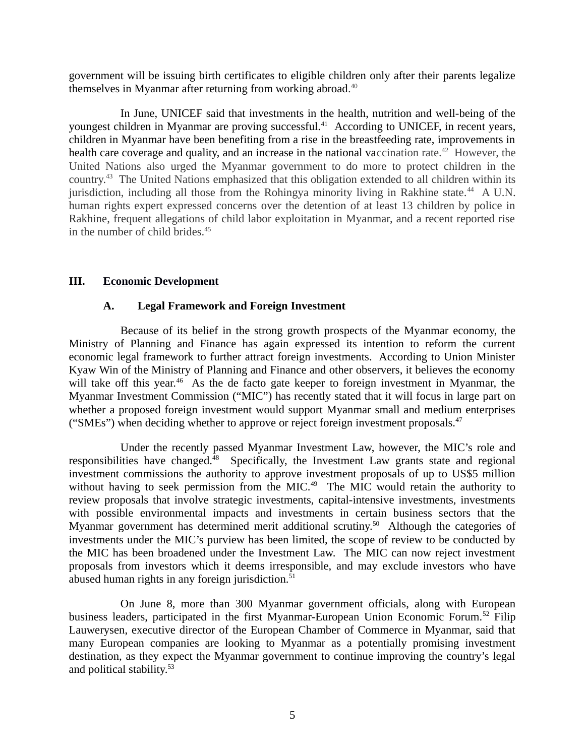government will be issuing birth certificates to eligible children only after their parents legalize themselves in Myanmar after returning from working abroad.<sup>40</sup>

In June, UNICEF said that investments in the health, nutrition and well-being of the youngest children in Myanmar are proving successful.<sup>41</sup> According to UNICEF, in recent years, children in Myanmar have been benefiting from a rise in the breastfeeding rate, improvements in health care coverage and quality, and an increase in the national vaccination rate.<sup>42</sup> However, the United Nations also urged the Myanmar government to do more to protect children in the country.<sup>43</sup> The United Nations emphasized that this obligation extended to all children within its jurisdiction, including all those from the Rohingya minority living in Rakhine state.<sup>44</sup> A U.N. human rights expert expressed concerns over the detention of at least 13 children by police in Rakhine, frequent allegations of child labor exploitation in Myanmar, and a recent reported rise in the number of child brides.<sup>45</sup>

## **III. Economic Development**

## <span id="page-4-1"></span><span id="page-4-0"></span>**A. Legal Framework and Foreign Investment**

Because of its belief in the strong growth prospects of the Myanmar economy, the Ministry of Planning and Finance has again expressed its intention to reform the current economic legal framework to further attract foreign investments. According to Union Minister Kyaw Win of the Ministry of Planning and Finance and other observers, it believes the economy will take off this year.<sup>46</sup> As the de facto gate keeper to foreign investment in Myanmar, the Myanmar Investment Commission ("MIC") has recently stated that it will focus in large part on whether a proposed foreign investment would support Myanmar small and medium enterprises ("SMEs") when deciding whether to approve or reject foreign investment proposals. $47$ 

Under the recently passed Myanmar Investment Law, however, the MIC's role and responsibilities have changed.<sup>48</sup> Specifically, the Investment Law grants state and regional investment commissions the authority to approve investment proposals of up to US\$5 million without having to seek permission from the MIC.<sup>49</sup> The MIC would retain the authority to review proposals that involve strategic investments, capital-intensive investments, investments with possible environmental impacts and investments in certain business sectors that the Myanmar government has determined merit additional scrutiny.<sup>50</sup> Although the categories of investments under the MIC's purview has been limited, the scope of review to be conducted by the MIC has been broadened under the Investment Law. The MIC can now reject investment proposals from investors which it deems irresponsible, and may exclude investors who have abused human rights in any foreign jurisdiction.<sup>51</sup>

On June 8, more than 300 Myanmar government officials, along with European business leaders, participated in the first Myanmar-European Union Economic Forum.<sup>52</sup> Filip Lauwerysen, executive director of the European Chamber of Commerce in Myanmar, said that many European companies are looking to Myanmar as a potentially promising investment destination, as they expect the Myanmar government to continue improving the country's legal and political stability.<sup>53</sup>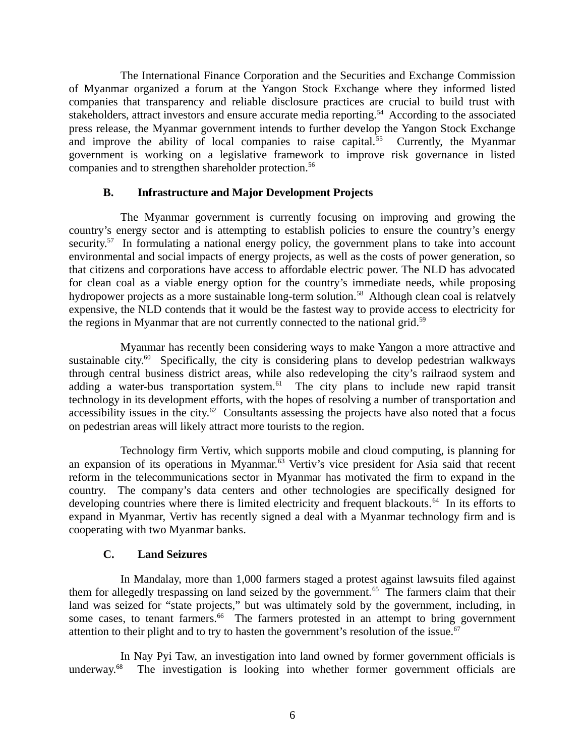The International Finance Corporation and the Securities and Exchange Commission of Myanmar organized a forum at the Yangon Stock Exchange where they informed listed companies that transparency and reliable disclosure practices are crucial to build trust with stakeholders, attract investors and ensure accurate media reporting.<sup>54</sup> According to the associated press release, the Myanmar government intends to further develop the Yangon Stock Exchange and improve the ability of local companies to raise capital.<sup>55</sup> Currently, the Myanmar government is working on a legislative framework to improve risk governance in listed companies and to strengthen shareholder protection.<sup>56</sup>

## <span id="page-5-1"></span>**B. Infrastructure and Major Development Projects**

The Myanmar government is currently focusing on improving and growing the country's energy sector and is attempting to establish policies to ensure the country's energy security. $57$  In formulating a national energy policy, the government plans to take into account environmental and social impacts of energy projects, as well as the costs of power generation, so that citizens and corporations have access to affordable electric power. The NLD has advocated for clean coal as a viable energy option for the country's immediate needs, while proposing hydropower projects as a more sustainable long-term solution.<sup>58</sup> Although clean coal is relatvely expensive, the NLD contends that it would be the fastest way to provide access to electricity for the regions in Myanmar that are not currently connected to the national grid. $59$ 

Myanmar has recently been considering ways to make Yangon a more attractive and sustainable city. $60$  Specifically, the city is considering plans to develop pedestrian walkways through central business district areas, while also redeveloping the city's railraod system and adding a water-bus transportation system. $61$  The city plans to include new rapid transit technology in its development efforts, with the hopes of resolving a number of transportation and accessibility issues in the city. $62$  Consultants assessing the projects have also noted that a focus on pedestrian areas will likely attract more tourists to the region.

Technology firm Vertiv, which supports mobile and cloud computing, is planning for an expansion of its operations in Myanmar.<sup>63</sup> Vertiv's vice president for Asia said that recent reform in the telecommunications sector in Myanmar has motivated the firm to expand in the country. The company's data centers and other technologies are specifically designed for developing countries where there is limited electricity and frequent blackouts.<sup>64</sup> In its efforts to expand in Myanmar, Vertiv has recently signed a deal with a Myanmar technology firm and is cooperating with two Myanmar banks.

## <span id="page-5-0"></span>**C. Land Seizures**

In Mandalay, more than 1,000 farmers staged a protest against lawsuits filed against them for allegedly trespassing on land seized by the government.<sup>65</sup> The farmers claim that their land was seized for "state projects," but was ultimately sold by the government, including, in some cases, to tenant farmers. $66$  The farmers protested in an attempt to bring government attention to their plight and to try to hasten the government's resolution of the issue. $67$ 

In Nay Pyi Taw, an investigation into land owned by former government officials is underway.<sup>68</sup> The investigation is looking into whether former government officials are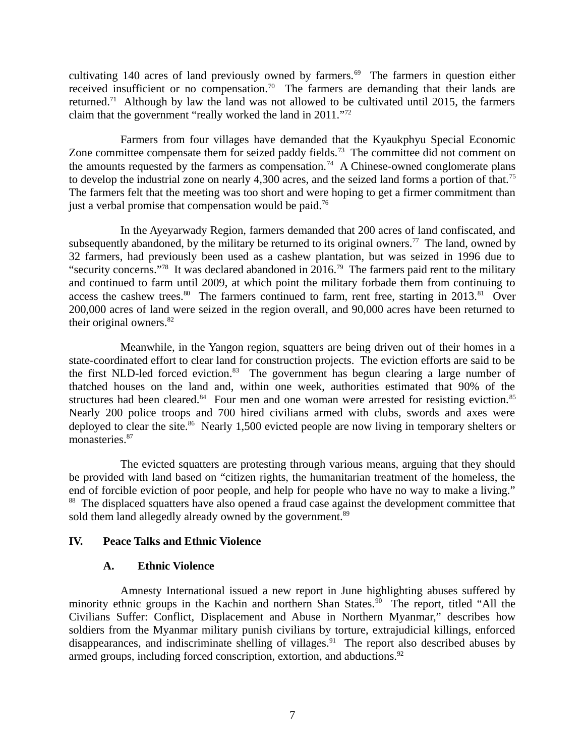cultivating 140 acres of land previously owned by farmers. $69$  The farmers in question either received insufficient or no compensation.<sup>70</sup> The farmers are demanding that their lands are returned.<sup>71</sup> Although by law the land was not allowed to be cultivated until 2015, the farmers claim that the government "really worked the land in 2011."<sup>72</sup>

Farmers from four villages have demanded that the Kyaukphyu Special Economic Zone committee compensate them for seized paddy fields.<sup>73</sup> The committee did not comment on the amounts requested by the farmers as compensation.<sup>74</sup> A Chinese-owned conglomerate plans to develop the industrial zone on nearly 4,300 acres, and the seized land forms a portion of that.<sup>75</sup> The farmers felt that the meeting was too short and were hoping to get a firmer commitment than just a verbal promise that compensation would be paid.<sup>76</sup>

In the Ayeyarwady Region, farmers demanded that 200 acres of land confiscated, and subsequently abandoned, by the military be returned to its original owners.<sup>77</sup> The land, owned by 32 farmers, had previously been used as a cashew plantation, but was seized in 1996 due to "security concerns."<sup>78</sup> It was declared abandoned in 2016.<sup>79</sup> The farmers paid rent to the military and continued to farm until 2009, at which point the military forbade them from continuing to access the cashew trees.<sup>80</sup> The farmers continued to farm, rent free, starting in 2013.<sup>81</sup> Over 200,000 acres of land were seized in the region overall, and 90,000 acres have been returned to their original owners. $82$ 

Meanwhile, in the Yangon region, squatters are being driven out of their homes in a state-coordinated effort to clear land for construction projects. The eviction efforts are said to be the first NLD-led forced eviction. $83$  The government has begun clearing a large number of thatched houses on the land and, within one week, authorities estimated that 90% of the structures had been cleared. $84$  Four men and one woman were arrested for resisting eviction. $85$ Nearly 200 police troops and 700 hired civilians armed with clubs, swords and axes were deployed to clear the site.<sup>86</sup> Nearly 1,500 evicted people are now living in temporary shelters or monasteries.<sup>87</sup>

The evicted squatters are protesting through various means, arguing that they should be provided with land based on "citizen rights, the humanitarian treatment of the homeless, the end of forcible eviction of poor people, and help for people who have no way to make a living." <sup>88</sup> The displaced squatters have also opened a fraud case against the development committee that sold them land allegedly already owned by the government.<sup>89</sup>

## **IV. Peace Talks and Ethnic Violence**

# <span id="page-6-1"></span><span id="page-6-0"></span>**A. Ethnic Violence**

Amnesty International issued a new report in June highlighting abuses suffered by minority ethnic groups in the Kachin and northern Shan States.<sup>90</sup> The report, titled "All the Civilians Suffer: Conflict, Displacement and Abuse in Northern Myanmar," describes how soldiers from the Myanmar military punish civilians by torture, extrajudicial killings, enforced disappearances, and indiscriminate shelling of villages.<sup>91</sup> The report also described abuses by armed groups, including forced conscription, extortion, and abductions.<sup>92</sup>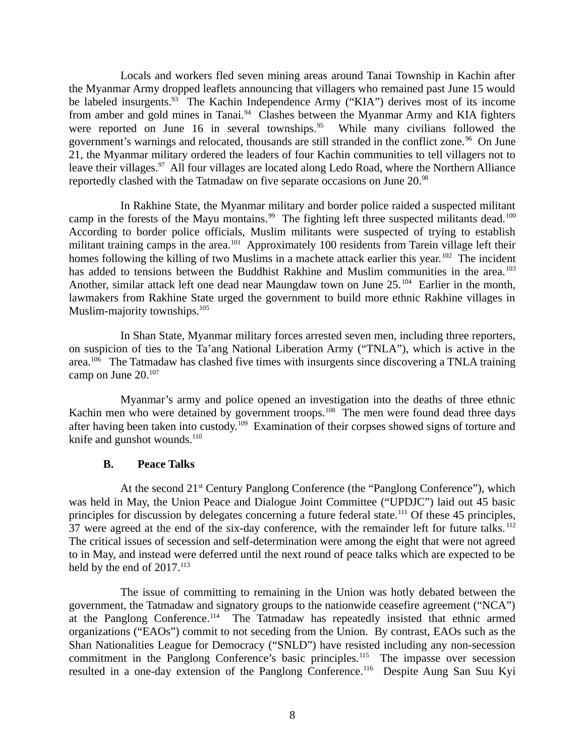Locals and workers fled seven mining areas around Tanai Township in Kachin after the Myanmar Army dropped leaflets announcing that villagers who remained past June 15 would be labeled insurgents.<sup>93</sup> The Kachin Independence Army ("KIA") derives most of its income from amber and gold mines in Tanai.<sup>94</sup> Clashes between the Myanmar Army and KIA fighters were reported on June 16 in several townships.<sup>95</sup> While many civilians followed the government's warnings and relocated, thousands are still stranded in the conflict zone.<sup>96</sup> On June 21, the Myanmar military ordered the leaders of four Kachin communities to tell villagers not to leave their villages.<sup>97</sup> All four villages are located along Ledo Road, where the Northern Alliance reportedly clashed with the Tatmadaw on five separate occasions on June 20.<sup>98</sup>

In Rakhine State, the Myanmar military and border police raided a suspected militant camp in the forests of the Mayu montains.<sup>99</sup> The fighting left three suspected militants dead.<sup>100</sup> According to border police officials, Muslim militants were suspected of trying to establish militant training camps in the area.<sup>101</sup> Approximately 100 residents from Tarein village left their homes following the killing of two Muslims in a machete attack earlier this year.<sup>102</sup> The incident has added to tensions between the Buddhist Rakhine and Muslim communities in the area.<sup>103</sup> Another, similar attack left one dead near Maungdaw town on June 25.<sup>104</sup> Earlier in the month, lawmakers from Rakhine State urged the government to build more ethnic Rakhine villages in Muslim-majority townships.<sup>105</sup>

In Shan State, Myanmar military forces arrested seven men, including three reporters, on suspicion of ties to the Ta'ang National Liberation Army ("TNLA"), which is active in the area.<sup>106</sup> The Tatmadaw has clashed five times with insurgents since discovering a TNLA training camp on June 20.<sup>107</sup>

Myanmar's army and police opened an investigation into the deaths of three ethnic Kachin men who were detained by government troops.<sup>108</sup> The men were found dead three days after having been taken into custody.<sup>109</sup> Examination of their corpses showed signs of torture and knife and gunshot wounds. $110$ 

## <span id="page-7-0"></span>**B. Peace Talks**

At the second 21<sup>st</sup> Century Panglong Conference (the "Panglong Conference"), which was held in May, the Union Peace and Dialogue Joint Committee ("UPDJC") laid out 45 basic principles for discussion by delegates concerning a future federal state.<sup>111</sup> Of these 45 principles, 37 were agreed at the end of the six-day conference, with the remainder left for future talks.<sup>112</sup> The critical issues of secession and self-determination were among the eight that were not agreed to in May, and instead were deferred until the next round of peace talks which are expected to be held by the end of 2017.<sup>113</sup>

The issue of committing to remaining in the Union was hotly debated between the government, the Tatmadaw and signatory groups to the nationwide ceasefire agreement ("NCA") at the Panglong Conference.<sup>114</sup> The Tatmadaw has repeatedly insisted that ethnic armed organizations ("EAOs") commit to not seceding from the Union. By contrast, EAOs such as the Shan Nationalities League for Democracy ("SNLD") have resisted including any non-secession commitment in the Panglong Conference's basic principles.<sup>115</sup> The impasse over secession resulted in a one-day extension of the Panglong Conference.<sup>116</sup> Despite Aung San Suu Kyi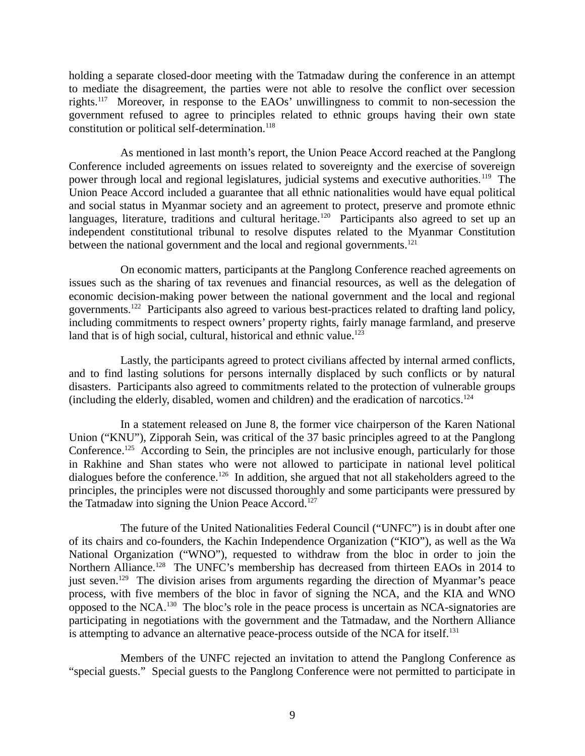holding a separate closed-door meeting with the Tatmadaw during the conference in an attempt to mediate the disagreement, the parties were not able to resolve the conflict over secession rights.<sup>117</sup> Moreover, in response to the EAOs' unwillingness to commit to non-secession the government refused to agree to principles related to ethnic groups having their own state constitution or political self-determination.<sup>118</sup>

As mentioned in last month's report, the Union Peace Accord reached at the Panglong Conference included agreements on issues related to sovereignty and the exercise of sovereign power through local and regional legislatures, judicial systems and executive authorities.<sup>119</sup> The Union Peace Accord included a guarantee that all ethnic nationalities would have equal political and social status in Myanmar society and an agreement to protect, preserve and promote ethnic languages, literature, traditions and cultural heritage.<sup>120</sup> Participants also agreed to set up an independent constitutional tribunal to resolve disputes related to the Myanmar Constitution between the national government and the local and regional governments.<sup>121</sup>

On economic matters, participants at the Panglong Conference reached agreements on issues such as the sharing of tax revenues and financial resources, as well as the delegation of economic decision-making power between the national government and the local and regional governments.<sup>122</sup> Participants also agreed to various best-practices related to drafting land policy, including commitments to respect owners' property rights, fairly manage farmland, and preserve land that is of high social, cultural, historical and ethnic value. $123$ 

Lastly, the participants agreed to protect civilians affected by internal armed conflicts, and to find lasting solutions for persons internally displaced by such conflicts or by natural disasters. Participants also agreed to commitments related to the protection of vulnerable groups (including the elderly, disabled, women and children) and the eradication of narcotics.<sup>124</sup>

In a statement released on June 8, the former vice chairperson of the Karen National Union ("KNU"), Zipporah Sein, was critical of the 37 basic principles agreed to at the Panglong Conference.<sup>125</sup> According to Sein, the principles are not inclusive enough, particularly for those in Rakhine and Shan states who were not allowed to participate in national level political dialogues before the conference.<sup>126</sup> In addition, she argued that not all stakeholders agreed to the principles, the principles were not discussed thoroughly and some participants were pressured by the Tatmadaw into signing the Union Peace Accord.<sup>127</sup>

The future of the United Nationalities Federal Council ("UNFC") is in doubt after one of its chairs and co-founders, the Kachin Independence Organization ("KIO"), as well as the Wa National Organization ("WNO"), requested to withdraw from the bloc in order to join the Northern Alliance.<sup>128</sup> The UNFC's membership has decreased from thirteen EAOs in 2014 to just seven.<sup>129</sup> The division arises from arguments regarding the direction of Myanmar's peace process, with five members of the bloc in favor of signing the NCA, and the KIA and WNO opposed to the NCA.<sup>130</sup> The bloc's role in the peace process is uncertain as NCA-signatories are participating in negotiations with the government and the Tatmadaw, and the Northern Alliance is attempting to advance an alternative peace-process outside of the NCA for itself.<sup>131</sup>

Members of the UNFC rejected an invitation to attend the Panglong Conference as "special guests." Special guests to the Panglong Conference were not permitted to participate in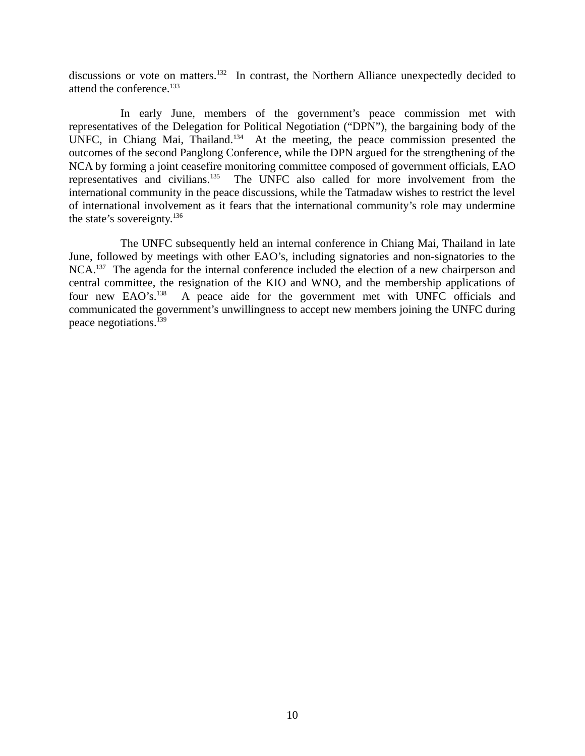discussions or vote on matters.<sup>132</sup> In contrast, the Northern Alliance unexpectedly decided to attend the conference.<sup>133</sup>

In early June, members of the government's peace commission met with representatives of the Delegation for Political Negotiation ("DPN"), the bargaining body of the UNFC, in Chiang Mai, Thailand.<sup>134</sup> At the meeting, the peace commission presented the outcomes of the second Panglong Conference, while the DPN argued for the strengthening of the NCA by forming a joint ceasefire monitoring committee composed of government officials, EAO representatives and civilians.<sup>135</sup> The UNFC also called for more involvement from the international community in the peace discussions, while the Tatmadaw wishes to restrict the level of international involvement as it fears that the international community's role may undermine the state's sovereignty. $136$ 

The UNFC subsequently held an internal conference in Chiang Mai, Thailand in late June, followed by meetings with other EAO's, including signatories and non-signatories to the NCA.<sup>137</sup> The agenda for the internal conference included the election of a new chairperson and central committee, the resignation of the KIO and WNO, and the membership applications of four new EAO's.<sup>138</sup> A peace aide for the government met with UNFC officials and communicated the government's unwillingness to accept new members joining the UNFC during peace negotiations.<sup>139</sup>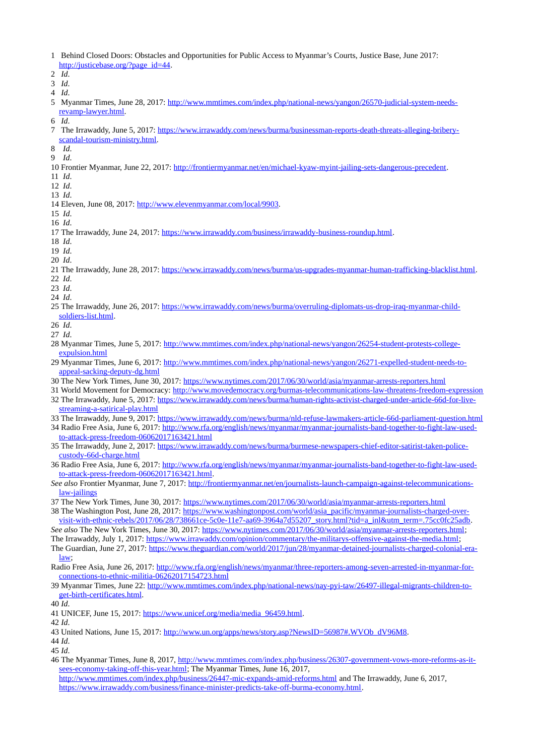1 Behind Closed Doors: Obstacles and Opportunities for Public Access to Myanmar's Courts, Justice Base, June 2017: [http://justicebase.org/?page\\_id=44.](http://justicebase.org/?page_id=44)

2 *Id*.

- 3 *Id*.
- 4 *Id*.
- 5 Myanmar Times, June 28, 2017: [http://www.mmtimes.com/index.php/national-news/yangon/26570-judicial-system-needs](http://www.mmtimes.com/index.php/national-news/yangon/26570-judicial-system-needs-revamp-lawyer.html)[revamp-lawyer.html.](http://www.mmtimes.com/index.php/national-news/yangon/26570-judicial-system-needs-revamp-lawyer.html)
- 6 *Id*.
- 7 The Irrawaddy, June 5, 2017: [https://www.irrawaddy.com/news/burma/businessman-reports-death-threats-alleging-bribery](https://www.irrawaddy.com/news/burma/businessman-reports-death-threats-alleging-bribery-scandal-tourism-ministry.html)[scandal-tourism-ministry.html.](https://www.irrawaddy.com/news/burma/businessman-reports-death-threats-alleging-bribery-scandal-tourism-ministry.html)
- 8 *Id*.
- 9 *Id*.
- 10 Frontier Myanmar, June 22, 2017: [http://frontiermyanmar.net/en/michael-kyaw-myint-jailing-sets-dangerous-precedent.](http://frontiermyanmar.net/en/michael-kyaw-myint-jailing-sets-dangerous-precedent)
- 11 *Id*.
- 12 *Id*.
- 13 *Id*.
- 14 Eleven, June 08, 2017: [http://www.elevenmyanmar.com/local/9903.](http://www.elevenmyanmar.com/local/9903)
- 15 *Id*. 16 *Id*.
- 17 The Irrawaddy, June 24, 2017: [https://www.irrawaddy.com/business/irrawaddy-business-roundup.html.](https://www.irrawaddy.com/business/irrawaddy-business-roundup.html)
- 18 *Id*.
- 19 *Id*. 20 *Id*.
- 
- 21 The Irrawaddy, June 28, 2017: [https://www.irrawaddy.com/news/burma/us-upgrades-myanmar-human-trafficking-blacklist.html.](https://www.irrawaddy.com/news/burma/us-upgrades-myanmar-human-trafficking-blacklist.html)
- 22 *Id*.
- 23 *Id*. 24 *Id*.
- 25 The Irrawaddy, June 26, 2017: [https://www.irrawaddy.com/news/burma/overruling-diplomats-us-drop-iraq-myanmar-child](https://www.irrawaddy.com/news/burma/overruling-diplomats-us-drop-iraq-myanmar-child-soldiers-list.html)[soldiers-list.html.](https://www.irrawaddy.com/news/burma/overruling-diplomats-us-drop-iraq-myanmar-child-soldiers-list.html)
- 26 *Id*.
- 27 *Id*.
- 28 Myanmar Times, June 5, 2017: [http://www.mmtimes.com/index.php/national-news/yangon/26254-student-protests-college](http://www.mmtimes.com/index.php/national-news/yangon/26254-student-protests-college-expulsion.html)[expulsion.html](http://www.mmtimes.com/index.php/national-news/yangon/26254-student-protests-college-expulsion.html)
- 29 Myanmar Times, June 6, 2017: [http://www.mmtimes.com/index.php/national-news/yangon/26271-expelled-student-needs-to](http://www.mmtimes.com/index.php/national-news/yangon/26271-expelled-student-needs-to-appeal-sacking-deputy-dg.html)[appeal-sacking-deputy-dg.html](http://www.mmtimes.com/index.php/national-news/yangon/26271-expelled-student-needs-to-appeal-sacking-deputy-dg.html)
- 30 The New York Times, June 30, 2017:<https://www.nytimes.com/2017/06/30/world/asia/myanmar-arrests-reporters.html>
- 31 World Movement for Democracy:<http://www.movedemocracy.org/burmas-telecommunications-law-threatens-freedom-expression> 32 The Irrawaddy, June 5, 2017: [https://www.irrawaddy.com/news/burma/human-rights-activist-charged-under-article-66d-for-live-](https://www.irrawaddy.com/news/burma/human-rights-activist-charged-under-article-66d-for-live-streaming-a-satirical-play.html)
- [streaming-a-satirical-play.html](https://www.irrawaddy.com/news/burma/human-rights-activist-charged-under-article-66d-for-live-streaming-a-satirical-play.html) 33 The Irrawaddy, June 9, 2017:<https://www.irrawaddy.com/news/burma/nld-refuse-lawmakers-article-66d-parliament-question.html>
- 34 Radio Free Asia, June 6, 2017: [http://www.rfa.org/english/news/myanmar/myanmar-journalists-band-together-to-fight-law-used-](http://www.rfa.org/english/news/myanmar/myanmar-journalists-band-together-to-fight-law-used-to-attack-press-freedom-06062017163421.html)
- [to-attack-press-freedom-06062017163421.html](http://www.rfa.org/english/news/myanmar/myanmar-journalists-band-together-to-fight-law-used-to-attack-press-freedom-06062017163421.html) 35 The Irrawaddy, June 2, 2017: [https://www.irrawaddy.com/news/burma/burmese-newspapers-chief-editor-satirist-taken-police](https://www.irrawaddy.com/news/burma/burmese-newspapers-chief-editor-satirist-taken-police-custody-66d-charge.html)[custody-66d-charge.html](https://www.irrawaddy.com/news/burma/burmese-newspapers-chief-editor-satirist-taken-police-custody-66d-charge.html)
- 36 Radio Free Asia, June 6, 2017: [http://www.rfa.org/english/news/myanmar/myanmar-journalists-band-together-to-fight-law-used](http://www.rfa.org/english/news/myanmar/myanmar-journalists-band-together-to-fight-law-used-to-attack-press-freedom-06062017163421.html)[to-attack-press-freedom-06062017163421.html.](http://www.rfa.org/english/news/myanmar/myanmar-journalists-band-together-to-fight-law-used-to-attack-press-freedom-06062017163421.html)
- *See also* Frontier Myanmar, June 7, 2017: [http://frontiermyanmar.net/en/journalists-launch-campaign-against-telecommunications](http://frontiermyanmar.net/en/journalists-launch-campaign-against-telecommunications-law-jailings)[law-jailings](http://frontiermyanmar.net/en/journalists-launch-campaign-against-telecommunications-law-jailings)
- 37 The New York Times, June 30, 2017:<https://www.nytimes.com/2017/06/30/world/asia/myanmar-arrests-reporters.html>
- 38 The Washington Post, June 28, 2017: [https://www.washingtonpost.com/world/asia\\_pacific/myanmar-journalists-charged-over](https://www.washingtonpost.com/world/asia_pacific/myanmar-journalists-charged-over-visit-with-ethnic-rebels/2017/06/28/738661ce-5c0e-11e7-aa69-3964a7d55207_story.html?tid=a_inl&utm_term=.75cc0fc25adb)[visit-with-ethnic-rebels/2017/06/28/738661ce-5c0e-11e7-aa69-3964a7d55207\\_story.html?tid=a\\_inl&utm\\_term=.75cc0fc25adb.](https://www.washingtonpost.com/world/asia_pacific/myanmar-journalists-charged-over-visit-with-ethnic-rebels/2017/06/28/738661ce-5c0e-11e7-aa69-3964a7d55207_story.html?tid=a_inl&utm_term=.75cc0fc25adb)
- *See also* The New York Times, June 30, 2017: [https://www.nytimes.com/2017/06/30/world/asia/myanmar-arrests-reporters.html;](https://www.nytimes.com/2017/06/30/world/asia/myanmar-arrests-reporters.html)

The Irrawaddy, July 1, 2017: [https://www.irrawaddy.com/opinion/commentary/the-militarys-offensive-against-the-media.html;](https://www.irrawaddy.com/opinion/commentary/the-militarys-offensive-against-the-media.html) The Guardian, June 27, 2017: [https://www.theguardian.com/world/2017/jun/28/myanmar-detained-journalists-charged-colonial-era-](https://www.theguardian.com/world/2017/jun/28/myanmar-detained-journalists-charged-colonial-era-law)

[law;](https://www.theguardian.com/world/2017/jun/28/myanmar-detained-journalists-charged-colonial-era-law)

Radio Free Asia, June 26, 2017: [http://www.rfa.org/english/news/myanmar/three-reporters-among-seven-arrested-in-myanmar-for](http://www.rfa.org/english/news/myanmar/three-reporters-among-seven-arrested-in-myanmar-for-connections-to-ethnic-militia-06262017154723.html)[connections-to-ethnic-militia-06262017154723.html](http://www.rfa.org/english/news/myanmar/three-reporters-among-seven-arrested-in-myanmar-for-connections-to-ethnic-militia-06262017154723.html)

39 Myanmar Times, June 22: [http://www.mmtimes.com/index.php/national-news/nay-pyi-taw/26497-illegal-migrants-children-to](http://www.mmtimes.com/index.php/national-news/nay-pyi-taw/26497-illegal-migrants-children-to-get-birth-certificates.html)[get-birth-certificates.html.](http://www.mmtimes.com/index.php/national-news/nay-pyi-taw/26497-illegal-migrants-children-to-get-birth-certificates.html)

40 *Id*.

- 41 UNICEF, June 15, 2017: [https://www.unicef.org/media/media\\_96459.html.](https://www.unicef.org/media/media_96459.html)
- 42 *Id*.
- 43 United Nations, June 15, 2017: [http://www.un.org/apps/news/story.asp?NewsID=56987#.WVOb\\_dV96M8.](http://www.un.org/apps/news/story.asp?NewsID=56987#.WVOb_dV96M8)
- 44 *Id*.
- 45 *Id*.
- 46 The Myanmar Times, June 8, 2017, [http://www.mmtimes.com/index.php/business/26307-government-vows-more-reforms-as-it](http://www.mmtimes.com/index.php/business/26307-government-vows-more-reforms-as-it-sees-economy-taking-off-this-year.html)[sees-economy-taking-off-this-year.html;](http://www.mmtimes.com/index.php/business/26307-government-vows-more-reforms-as-it-sees-economy-taking-off-this-year.html) The Myanmar Times, June 16, 2017, <http://www.mmtimes.com/index.php/business/26447-mic-expands-amid-reforms.html>and The Irrawaddy, June 6, 2017,

[https://www.irrawaddy.com/business/finance-minister-predicts-take-off-burma-economy.html.](https://www.irrawaddy.com/business/finance-minister-predicts-take-off-burma-economy.html)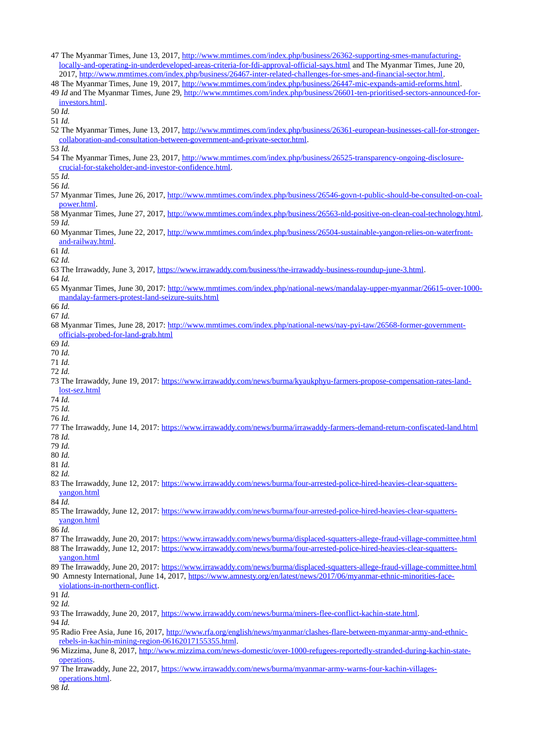- 47 The Myanmar Times, June 13, 2017, [http://www.mmtimes.com/index.php/business/26362-supporting-smes-manufacturing](http://www.mmtimes.com/index.php/business/26362-supporting-smes-manufacturing-locally-and-operating-in-underdeveloped-areas-criteria-for-fdi-approval-official-says.html)[locally-and-operating-in-underdeveloped-areas-criteria-for-fdi-approval-official-says.html](http://www.mmtimes.com/index.php/business/26362-supporting-smes-manufacturing-locally-and-operating-in-underdeveloped-areas-criteria-for-fdi-approval-official-says.html) and The Myanmar Times, June 20, 2017, [http://www.mmtimes.com/index.php/business/26467-inter-related-challenges-for-smes-and-financial-sector.html.](http://www.mmtimes.com/index.php/business/26467-inter-related-challenges-for-smes-and-financial-sector.html)
- 48 The Myanmar Times, June 19, 2017, [http://www.mmtimes.com/index.php/business/26447-mic-expands-amid-reforms.html.](http://www.mmtimes.com/index.php/business/26447-mic-expands-amid-reforms.html)
- 49 *Id* and The Myanmar Times, June 29, [http://www.mmtimes.com/index.php/business/26601-ten-prioritised-sectors-announced-for](http://www.mmtimes.com/index.php/business/26601-ten-prioritised-sectors-announced-for-investors.html)[investors.html.](http://www.mmtimes.com/index.php/business/26601-ten-prioritised-sectors-announced-for-investors.html)

50 *Id.*

- 51 *Id.*
- 52 The Myanmar Times, June 13, 2017, [http://www.mmtimes.com/index.php/business/26361-european-businesses-call-for-stronger](http://www.mmtimes.com/index.php/business/26361-european-businesses-call-for-stronger-collaboration-and-consultation-between-government-and-private-sector.html)[collaboration-and-consultation-between-government-and-private-sector.html.](http://www.mmtimes.com/index.php/business/26361-european-businesses-call-for-stronger-collaboration-and-consultation-between-government-and-private-sector.html)
- 53 *Id.*
- 54 The Myanmar Times, June 23, 2017, [http://www.mmtimes.com/index.php/business/26525-transparency-ongoing-disclosure](http://www.mmtimes.com/index.php/business/26525-transparency-ongoing-disclosure-crucial-for-stakeholder-and-investor-confidence.html)[crucial-for-stakeholder-and-investor-confidence.html.](http://www.mmtimes.com/index.php/business/26525-transparency-ongoing-disclosure-crucial-for-stakeholder-and-investor-confidence.html)

55 *Id.*

- 56 *Id.*
- 57 Myanmar Times, June 26, 2017, [http://www.mmtimes.com/index.php/business/26546-govn-t-public-should-be-consulted-on-coal](http://www.mmtimes.com/index.php/business/26546-govn-t-public-should-be-consulted-on-coal-power.html)[power.html.](http://www.mmtimes.com/index.php/business/26546-govn-t-public-should-be-consulted-on-coal-power.html)
- 58 Myanmar Times, June 27, 2017, [http://www.mmtimes.com/index.php/business/26563-nld-positive-on-clean-coal-technology.html.](http://www.mmtimes.com/index.php/business/26563-nld-positive-on-clean-coal-technology.html) 59 *Id.*
- 60 Myanmar Times, June 22, 2017, [http://www.mmtimes.com/index.php/business/26504-sustainable-yangon-relies-on-waterfront](http://www.mmtimes.com/index.php/business/26504-sustainable-yangon-relies-on-waterfront-and-railway.html)[and-railway.html.](http://www.mmtimes.com/index.php/business/26504-sustainable-yangon-relies-on-waterfront-and-railway.html)
- 61 *Id.*
- 62 *Id.*
- 63 The Irrawaddy, June 3, 2017, [https://www.irrawaddy.com/business/the-irrawaddy-business-roundup-june-3.html.](https://www.irrawaddy.com/business/the-irrawaddy-business-roundup-june-3.html)
- 64 *Id.*
- 65 Myanmar Times, June 30, 2017: [http://www.mmtimes.com/index.php/national-news/mandalay-upper-myanmar/26615-over-1000](http://www.mmtimes.com/index.php/national-news/mandalay-upper-myanmar/26615-over-1000-mandalay-farmers-protest-land-seizure-suits.html) [mandalay-farmers-protest-land-seizure-suits.html](http://www.mmtimes.com/index.php/national-news/mandalay-upper-myanmar/26615-over-1000-mandalay-farmers-protest-land-seizure-suits.html)
- 66 *Id.*

67 *Id.*

- 68 Myanmar Times, June 28, 2017: [http://www.mmtimes.com/index.php/national-news/nay-pyi-taw/26568-former-government](http://www.mmtimes.com/index.php/national-news/nay-pyi-taw/26568-former-government-officials-probed-for-land-grab.html)[officials-probed-for-land-grab.html](http://www.mmtimes.com/index.php/national-news/nay-pyi-taw/26568-former-government-officials-probed-for-land-grab.html)
- 69 *Id.*
- 70 *Id.*
- 71 *Id.*
- 72 *Id.*
- 73 The Irrawaddy, June 19, 2017: [https://www.irrawaddy.com/news/burma/kyaukphyu-farmers-propose-compensation-rates-land](https://www.irrawaddy.com/news/burma/kyaukphyu-farmers-propose-compensation-rates-land-lost-sez.html)[lost-sez.html](https://www.irrawaddy.com/news/burma/kyaukphyu-farmers-propose-compensation-rates-land-lost-sez.html)
- 74 *Id.*
- 75 *Id.* 76 *Id.*
- 
- 77 The Irrawaddy, June 14, 2017:<https://www.irrawaddy.com/news/burma/irrawaddy-farmers-demand-return-confiscated-land.html> 78 *Id.*
- 79 *Id.*
- 80 *Id.*
- 81 *Id.*
- 82 *Id.*
- 83 The Irrawaddy, June 12, 2017: [https://www.irrawaddy.com/news/burma/four-arrested-police-hired-heavies-clear-squatters](https://www.irrawaddy.com/news/burma/four-arrested-police-hired-heavies-clear-squatters-yangon.html)[yangon.html](https://www.irrawaddy.com/news/burma/four-arrested-police-hired-heavies-clear-squatters-yangon.html)

84 *Id.*

85 The Irrawaddy, June 12, 2017: [https://www.irrawaddy.com/news/burma/four-arrested-police-hired-heavies-clear-squatters](https://www.irrawaddy.com/news/burma/four-arrested-police-hired-heavies-clear-squatters-yangon.html)[yangon.html](https://www.irrawaddy.com/news/burma/four-arrested-police-hired-heavies-clear-squatters-yangon.html)

86 *Id.*

- 87 The Irrawaddy, June 20, 2017:<https://www.irrawaddy.com/news/burma/displaced-squatters-allege-fraud-village-committee.html>
- 88 The Irrawaddy, June 12, 2017: [https://www.irrawaddy.com/news/burma/four-arrested-police-hired-heavies-clear-squatters](https://www.irrawaddy.com/news/burma/four-arrested-police-hired-heavies-clear-squatters-yangon.html)[yangon.html](https://www.irrawaddy.com/news/burma/four-arrested-police-hired-heavies-clear-squatters-yangon.html)
- 89 The Irrawaddy, June 20, 2017:<https://www.irrawaddy.com/news/burma/displaced-squatters-allege-fraud-village-committee.html> 90 Amnesty International, June 14, 2017, [https://www.amnesty.org/en/latest/news/2017/06/myanmar-ethnic-minorities-face-](https://www.amnesty.org/en/latest/news/2017/06/myanmar-ethnic-minorities-face-violations-in-northern-conflict)

[violations-in-northern-conflict.](https://www.amnesty.org/en/latest/news/2017/06/myanmar-ethnic-minorities-face-violations-in-northern-conflict)

91 *Id.*

92 *Id.*

- 93 The Irrawaddy, June 20, 2017, [https://www.irrawaddy.com/news/burma/miners-flee-conflict-kachin-state.html.](https://www.irrawaddy.com/news/burma/miners-flee-conflict-kachin-state.html)
- 94 *Id.*
- 95 Radio Free Asia, June 16, 2017, [http://www.rfa.org/english/news/myanmar/clashes-flare-between-myanmar-army-and-ethnic](http://www.rfa.org/english/news/myanmar/clashes-flare-between-myanmar-army-and-ethnic-rebels-in-kachin-mining-region-06162017155355.html)[rebels-in-kachin-mining-region-06162017155355.html.](http://www.rfa.org/english/news/myanmar/clashes-flare-between-myanmar-army-and-ethnic-rebels-in-kachin-mining-region-06162017155355.html)
- 96 Mizzima, June 8, 2017, [http://www.mizzima.com/news-domestic/over-1000-refugees-reportedly-stranded-during-kachin-state](http://www.mizzima.com/news-domestic/over-1000-refugees-reportedly-stranded-during-kachin-state-operations)[operations.](http://www.mizzima.com/news-domestic/over-1000-refugees-reportedly-stranded-during-kachin-state-operations)
- 97 The Irrawaddy, June 22, 2017, [https://www.irrawaddy.com/news/burma/myanmar-army-warns-four-kachin-villages](https://www.irrawaddy.com/news/burma/myanmar-army-warns-four-kachin-villages-operations.html)[operations.html.](https://www.irrawaddy.com/news/burma/myanmar-army-warns-four-kachin-villages-operations.html)

98 *Id.*